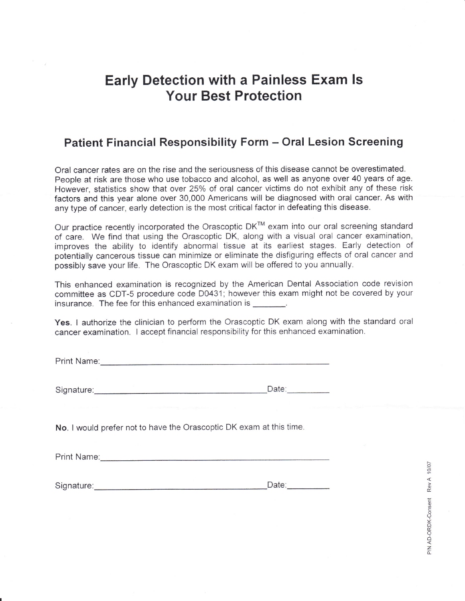## Early Detection with a Painless Exam ls Your Best Protection

## Patient Financial Responsibility Form - Oral Lesion Screening

Oral cancer rates are on the rise and the seriousness of this disease cannot be overestimated. People at risk are those who use tobacco and alcohol, as well as anyone over 40 years of age. However, statistics show that over 25% of oral cancer victims do not exhibit any of these risk factors and this year alone over 30,000 Americans will be diagnosed with orai cancer. As with any type of cancer, early detection is the most critical factor in defeating this disease.

Our practice recently incorporated the Orascoptic DK™ exam into our oral screening standard of care. We find that using the Orascoptic DK, along with a visual oral cancer examination, improves the ability to identify abnormal tissue at its earliest stages. Early detection of potentially cancerous tissue can minimize or eliminate the disfiguring effects of oral cancer and possibly save your life. The Orascoptic DK exam will be offered to you annually.

This enhanced examination is recognized by the American Dental Association code revision committee as CDT-5 procedure code D0431; however this exam might not be covered by your insurance. The fee for this enhanced examination is

Yes. I authorize the clinician to perform the Orascoptic DK exam along with the standard oral cancer examination. I accept financial responsibility for this enhanced examination.

Print Name: We have a strategies of the strategies of the strategies of the strategies of the strategies of the strategies of the strategies of the strategies of the strategies of the strategies of the strategies of the st

| Signature: | Date |
|------------|------|
|            |      |

No. I would prefer not to have the Orascoptic DK exam at this time.

Print Name:

Signature: Date: Date: